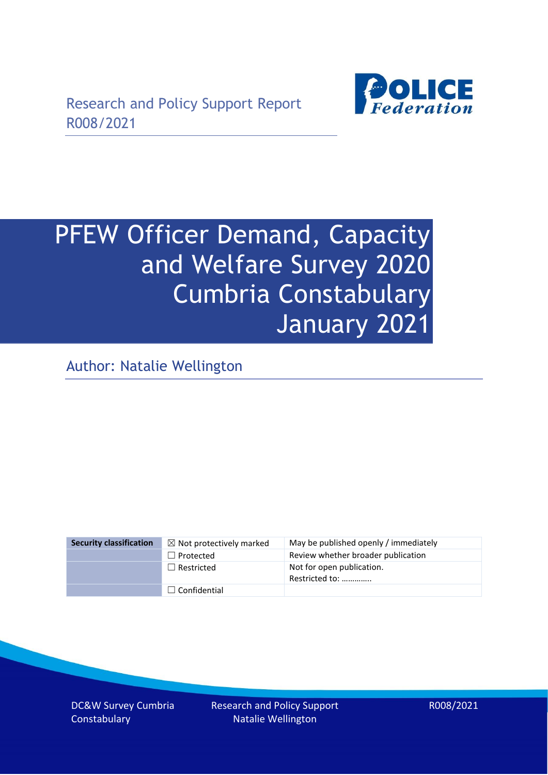

# PFEW Officer Demand, Capacity and Welfare Survey 2020 Cumbria Constabulary January 2021

Author: Natalie Wellington

| <b>Security classification</b> | $\boxtimes$ Not protectively marked | May be published openly / immediately       |
|--------------------------------|-------------------------------------|---------------------------------------------|
|                                | $\Box$ Protected                    | Review whether broader publication          |
|                                | $\Box$ Restricted                   | Not for open publication.<br>Restricted to: |
|                                | $\Box$ Confidential                 |                                             |

DC&W Survey Cumbria **Constabulary**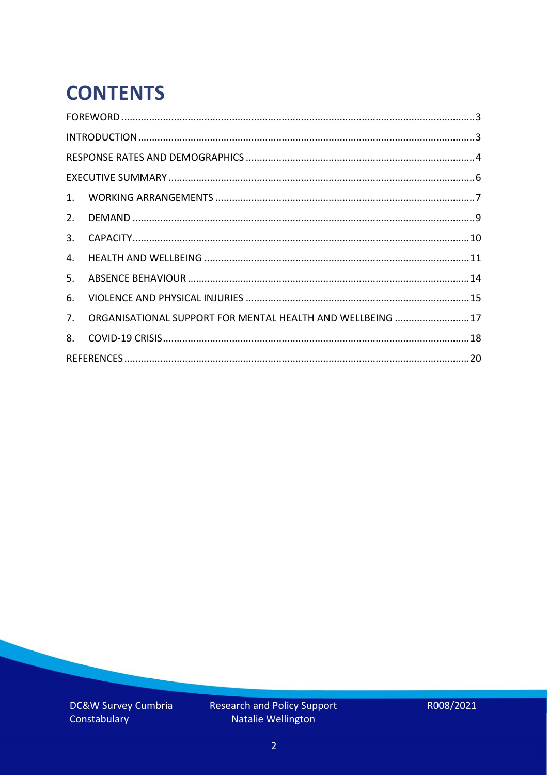# **CONTENTS**

| 2.          |                                                            |  |
|-------------|------------------------------------------------------------|--|
| 3.          |                                                            |  |
| 4.          |                                                            |  |
| 5.          |                                                            |  |
| 6.          |                                                            |  |
| $7_{\cdot}$ | ORGANISATIONAL SUPPORT FOR MENTAL HEALTH AND WELLBEING  17 |  |
| 8.          |                                                            |  |
|             |                                                            |  |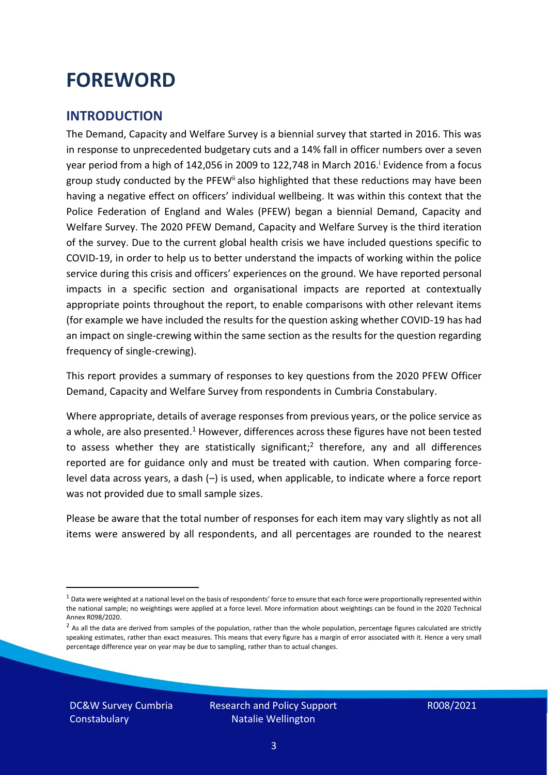### <span id="page-2-0"></span>**FOREWORD**

#### <span id="page-2-1"></span>**INTRODUCTION**

The Demand, Capacity and Welfare Survey is a biennial survey that started in 2016. This was in response to unprecedented budgetary cuts and a 14% fall in officer numbers over a seven year period from a high of 142,056 in 2009 to 122,748 in March 2016. <sup>i</sup> Evidence from a focus group study conducted by the PFEW<sup>ii</sup> also highlighted that these reductions may have been having a negative effect on officers' individual wellbeing. It was within this context that the Police Federation of England and Wales (PFEW) began a biennial Demand, Capacity and Welfare Survey. The 2020 PFEW Demand, Capacity and Welfare Survey is the third iteration of the survey. Due to the current global health crisis we have included questions specific to COVID-19, in order to help us to better understand the impacts of working within the police service during this crisis and officers' experiences on the ground. We have reported personal impacts in a specific section and organisational impacts are reported at contextually appropriate points throughout the report, to enable comparisons with other relevant items (for example we have included the results for the question asking whether COVID-19 has had an impact on single-crewing within the same section as the results for the question regarding frequency of single-crewing).

This report provides a summary of responses to key questions from the 2020 PFEW Officer Demand, Capacity and Welfare Survey from respondents in Cumbria Constabulary.

Where appropriate, details of average responses from previous years, or the police service as a whole, are also presented.<sup>1</sup> However, differences across these figures have not been tested to assess whether they are statistically significant;<sup>2</sup> therefore, any and all differences reported are for guidance only and must be treated with caution. When comparing forcelevel data across years, a dash (–) is used, when applicable, to indicate where a force report was not provided due to small sample sizes.

Please be aware that the total number of responses for each item may vary slightly as not all items were answered by all respondents, and all percentages are rounded to the nearest

DC&W Survey Cumbria **Constabulary** 

 $1$  Data were weighted at a national level on the basis of respondents' force to ensure that each force were proportionally represented within the national sample; no weightings were applied at a force level. More information about weightings can be found in the 2020 Technical Annex R098/2020.

 $2$  As all the data are derived from samples of the population, rather than the whole population, percentage figures calculated are strictly speaking estimates, rather than exact measures. This means that every figure has a margin of error associated with it. Hence a very small percentage difference year on year may be due to sampling, rather than to actual changes.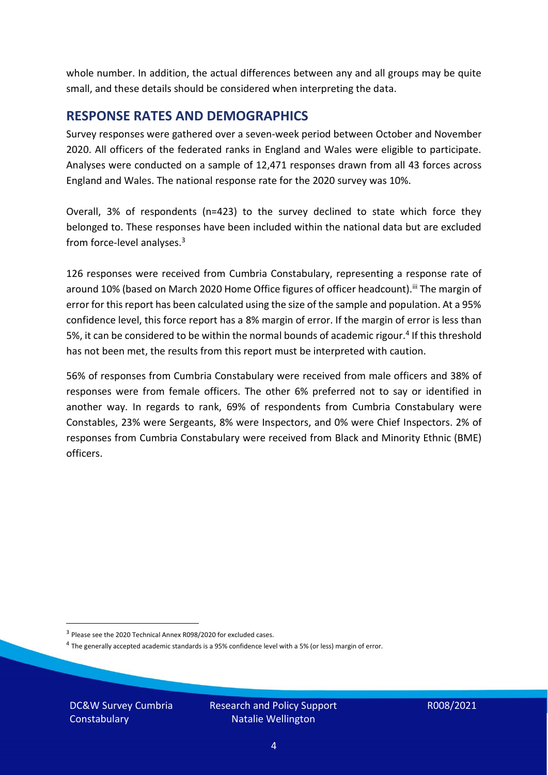whole number. In addition, the actual differences between any and all groups may be quite small, and these details should be considered when interpreting the data.

#### <span id="page-3-0"></span>**RESPONSE RATES AND DEMOGRAPHICS**

Survey responses were gathered over a seven-week period between October and November 2020. All officers of the federated ranks in England and Wales were eligible to participate. Analyses were conducted on a sample of 12,471 responses drawn from all 43 forces across England and Wales. The national response rate for the 2020 survey was 10%.

Overall, 3% of respondents (n=423) to the survey declined to state which force they belonged to. These responses have been included within the national data but are excluded from force-level analyses.<sup>3</sup>

126 responses were received from Cumbria Constabulary, representing a response rate of around 10% (based on March 2020 Home Office figures of officer headcount).<sup>iii</sup> The margin of error for this report has been calculated using the size of the sample and population. At a 95% confidence level, this force report has a 8% margin of error. If the margin of error is less than 5%, it can be considered to be within the normal bounds of academic rigour.<sup>4</sup> If this threshold has not been met, the results from this report must be interpreted with caution.

56% of responses from Cumbria Constabulary were received from male officers and 38% of responses were from female officers. The other 6% preferred not to say or identified in another way. In regards to rank, 69% of respondents from Cumbria Constabulary were Constables, 23% were Sergeants, 8% were Inspectors, and 0% were Chief Inspectors. 2% of responses from Cumbria Constabulary were received from Black and Minority Ethnic (BME) officers.

DC&W Survey Cumbria **Constabulary** 

<sup>&</sup>lt;sup>3</sup> Please see the 2020 Technical Annex R098/2020 for excluded cases.

<sup>&</sup>lt;sup>4</sup> The generally accepted academic standards is a 95% confidence level with a 5% (or less) margin of error.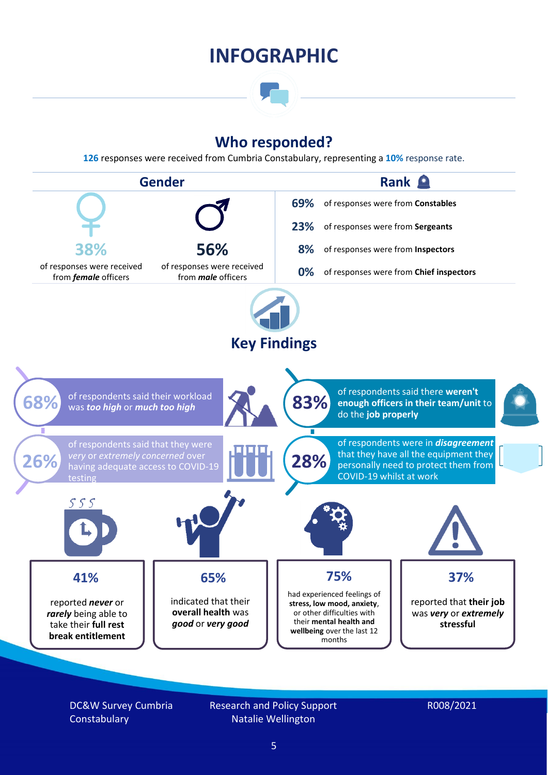### **INFOGRAPHIC**

### **Who responded?**

**126** responses were received from Cumbria Constabulary, representing a **10%** response rate.



DC&W Survey Cumbria **Constabulary** 

Research and Policy Support Natalie Wellington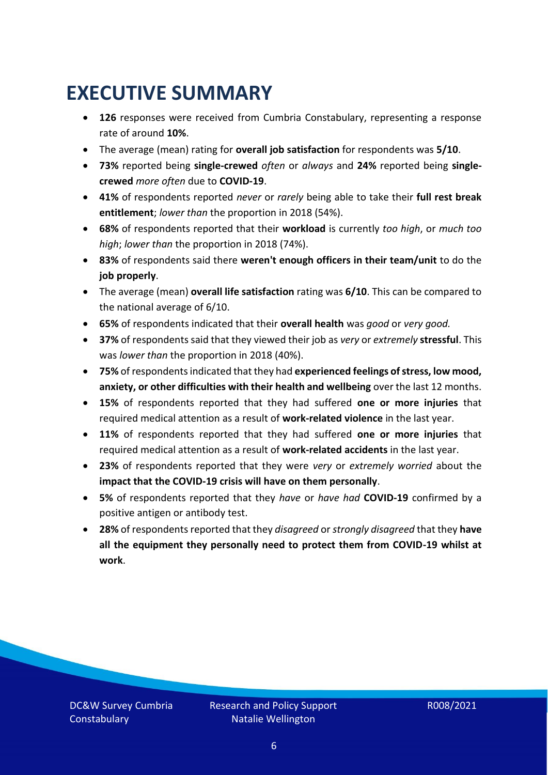### <span id="page-5-0"></span>**EXECUTIVE SUMMARY**

- **126** responses were received from Cumbria Constabulary, representing a response rate of around **10%**.
- The average (mean) rating for **overall job satisfaction** for respondents was **5/10**.
- **73%** reported being **single-crewed** *often* or *always* and **24%** reported being **singlecrewed** *more often* due to **COVID-19**.
- **41%** of respondents reported *never* or *rarely* being able to take their **full rest break entitlement**; *lower than* the proportion in 2018 (54%).
- **68%** of respondents reported that their **workload** is currently *too high*, or *much too high*; *lower than* the proportion in 2018 (74%).
- **83%** of respondents said there **weren't enough officers in their team/unit** to do the **job properly**.
- The average (mean) **overall life satisfaction** rating was **6/10**. This can be compared to the national average of 6/10.
- **65%** of respondents indicated that their **overall health** was *good* or *very good.*
- **37%** of respondents said that they viewed their job as *very* or *extremely* **stressful**. This was *lower than* the proportion in 2018 (40%).
- **75%** of respondents indicated that they had **experienced feelings of stress, low mood, anxiety, or other difficulties with their health and wellbeing** over the last 12 months.
- **15%** of respondents reported that they had suffered **one or more injuries** that required medical attention as a result of **work-related violence** in the last year.
- **11%** of respondents reported that they had suffered **one or more injuries** that required medical attention as a result of **work-related accidents** in the last year.
- **23%** of respondents reported that they were *very* or *extremely worried* about the **impact that the COVID-19 crisis will have on them personally**.
- **5%** of respondents reported that they *have* or *have had* **COVID-19** confirmed by a positive antigen or antibody test.
- **28%** of respondents reported that they *disagreed* or *strongly disagreed* that they **have all the equipment they personally need to protect them from COVID-19 whilst at work**.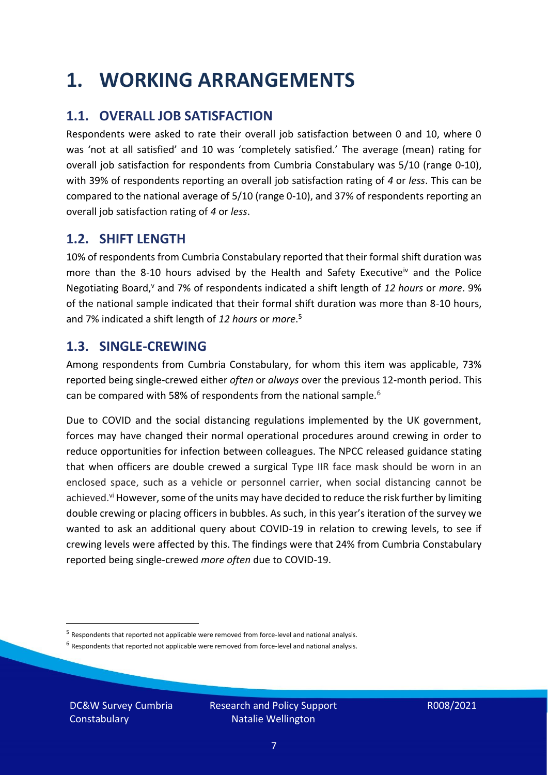### <span id="page-6-0"></span>**1. WORKING ARRANGEMENTS**

### **1.1. OVERALL JOB SATISFACTION**

Respondents were asked to rate their overall job satisfaction between 0 and 10, where 0 was 'not at all satisfied' and 10 was 'completely satisfied.' The average (mean) rating for overall job satisfaction for respondents from Cumbria Constabulary was 5/10 (range 0-10), with 39% of respondents reporting an overall job satisfaction rating of *4* or *less*. This can be compared to the national average of 5/10 (range 0-10), and 37% of respondents reporting an overall job satisfaction rating of *4* or *less*.

### **1.2. SHIFT LENGTH**

10% of respondents from Cumbria Constabulary reported that their formal shift duration was more than the 8-10 hours advised by the Health and Safety Executive<sup>iv</sup> and the Police Negotiating Board,<sup>v</sup> and 7% of respondents indicated a shift length of 12 hours or *more*. 9% of the national sample indicated that their formal shift duration was more than 8-10 hours, and 7% indicated a shift length of *12 hours* or *more*. 5

#### **1.3. SINGLE-CREWING**

Among respondents from Cumbria Constabulary, for whom this item was applicable, 73% reported being single-crewed either *often* or *always* over the previous 12-month period. This can be compared with 58% of respondents from the national sample.<sup>6</sup>

Due to COVID and the social distancing regulations implemented by the UK government, forces may have changed their normal operational procedures around crewing in order to reduce opportunities for infection between colleagues. The NPCC released guidance stating that when officers are double crewed a surgical Type IIR face mask should be worn in an enclosed space, such as a vehicle or personnel carrier, when social distancing cannot be achieved.<sup>vi</sup> However, some of the units may have decided to reduce the risk further by limiting double crewing or placing officers in bubbles. As such, in this year's iteration of the survey we wanted to ask an additional query about COVID-19 in relation to crewing levels, to see if crewing levels were affected by this. The findings were that 24% from Cumbria Constabulary reported being single-crewed *more often* due to COVID-19.

 $<sup>6</sup>$  Respondents that reported not applicable were removed from force-level and national analysis.</sup>

DC&W Survey Cumbria **Constabulary** 

<sup>&</sup>lt;sup>5</sup> Respondents that reported not applicable were removed from force-level and national analysis.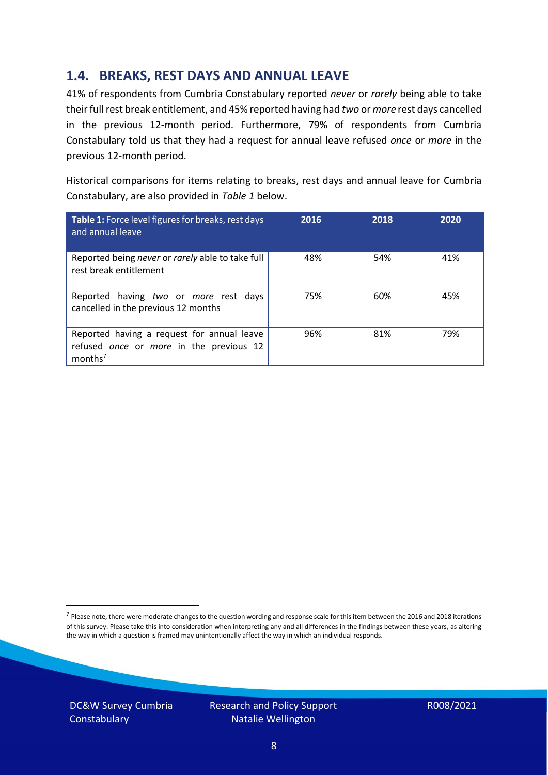### **1.4. BREAKS, REST DAYS AND ANNUAL LEAVE**

41% of respondents from Cumbria Constabulary reported *never* or *rarely* being able to take their full rest break entitlement, and 45% reported having had *two* or *more* rest days cancelled in the previous 12-month period. Furthermore, 79% of respondents from Cumbria Constabulary told us that they had a request for annual leave refused *once* or *more* in the previous 12-month period.

Historical comparisons for items relating to breaks, rest days and annual leave for Cumbria Constabulary, are also provided in *Table 1* below.

| Table 1: Force level figures for breaks, rest days<br>and annual leave                                       | 2016 | 2018 | 2020 |
|--------------------------------------------------------------------------------------------------------------|------|------|------|
| Reported being never or rarely able to take full<br>rest break entitlement                                   | 48%  | 54%  | 41%  |
| Reported having two or more rest days<br>cancelled in the previous 12 months                                 | 75%  | 60%  | 45%  |
| Reported having a request for annual leave<br>refused once or more in the previous 12<br>months <sup>7</sup> | 96%  | 81%  | 79%  |

DC&W Survey Cumbria **Constabulary** 

<sup>&</sup>lt;sup>7</sup> Please note, there were moderate changes to the question wording and response scale for this item between the 2016 and 2018 iterations of this survey. Please take this into consideration when interpreting any and all differences in the findings between these years, as altering the way in which a question is framed may unintentionally affect the way in which an individual responds.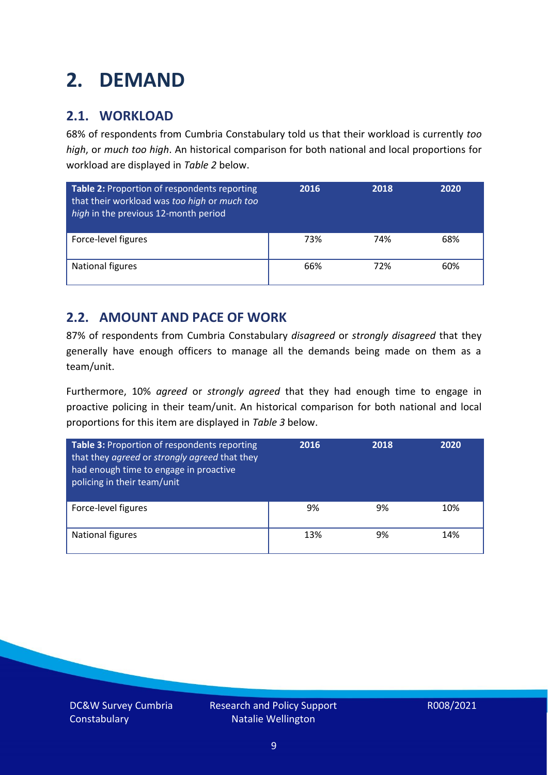### <span id="page-8-0"></span>**2. DEMAND**

### **2.1. WORKLOAD**

68% of respondents from Cumbria Constabulary told us that their workload is currently *too high*, or *much too high*. An historical comparison for both national and local proportions for workload are displayed in *Table 2* below.

| Table 2: Proportion of respondents reporting<br>that their workload was too high or much too<br>high in the previous 12-month period | 2016 | 2018 | 2020 |
|--------------------------------------------------------------------------------------------------------------------------------------|------|------|------|
| Force-level figures                                                                                                                  | 73%  | 74%  | 68%  |
| <b>National figures</b>                                                                                                              | 66%  | 72%  | 60%  |

### **2.2. AMOUNT AND PACE OF WORK**

87% of respondents from Cumbria Constabulary *disagreed* or *strongly disagreed* that they generally have enough officers to manage all the demands being made on them as a team/unit.

Furthermore, 10% *agreed* or *strongly agreed* that they had enough time to engage in proactive policing in their team/unit. An historical comparison for both national and local proportions for this item are displayed in *Table 3* below.

| Table 3: Proportion of respondents reporting<br>that they agreed or strongly agreed that they<br>had enough time to engage in proactive<br>policing in their team/unit | 2016 | 2018 | 2020 |
|------------------------------------------------------------------------------------------------------------------------------------------------------------------------|------|------|------|
| Force-level figures                                                                                                                                                    | 9%   | 9%   | 10%  |
| National figures                                                                                                                                                       | 13%  | 9%   | 14%  |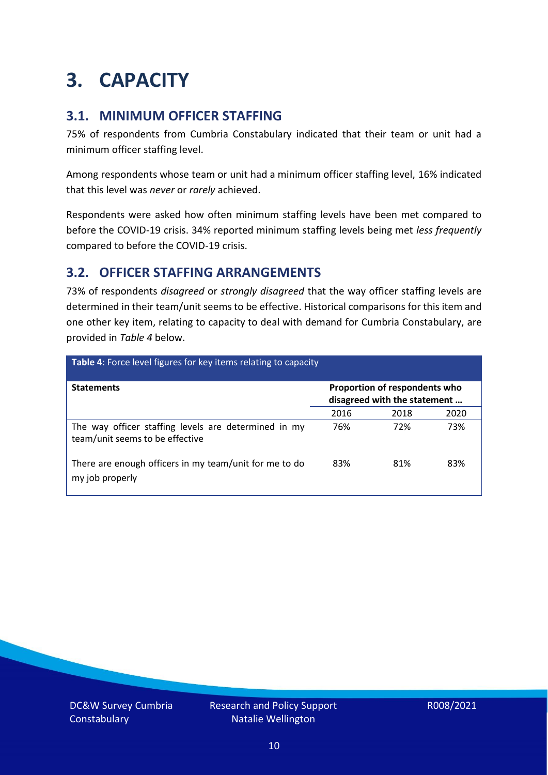### <span id="page-9-0"></span>**3. CAPACITY**

### **3.1. MINIMUM OFFICER STAFFING**

75% of respondents from Cumbria Constabulary indicated that their team or unit had a minimum officer staffing level.

Among respondents whose team or unit had a minimum officer staffing level, 16% indicated that this level was *never* or *rarely* achieved.

Respondents were asked how often minimum staffing levels have been met compared to before the COVID-19 crisis. 34% reported minimum staffing levels being met *less frequently* compared to before the COVID-19 crisis.

### **3.2. OFFICER STAFFING ARRANGEMENTS**

73% of respondents *disagreed* or *strongly disagreed* that the way officer staffing levels are determined in their team/unit seems to be effective. Historical comparisons for this item and one other key item, relating to capacity to deal with demand for Cumbria Constabulary, are provided in *Table 4* below.

| <b>Table 4:</b> Force level figures for key items relating to capacity                  |                                                               |      |      |
|-----------------------------------------------------------------------------------------|---------------------------------------------------------------|------|------|
| <b>Statements</b>                                                                       | Proportion of respondents who<br>disagreed with the statement |      |      |
|                                                                                         | 2016                                                          | 2018 | 2020 |
| The way officer staffing levels are determined in my<br>team/unit seems to be effective | 76%                                                           | 72%  | 73%  |
| There are enough officers in my team/unit for me to do<br>my job properly               | 83%                                                           | 81%  | 83%  |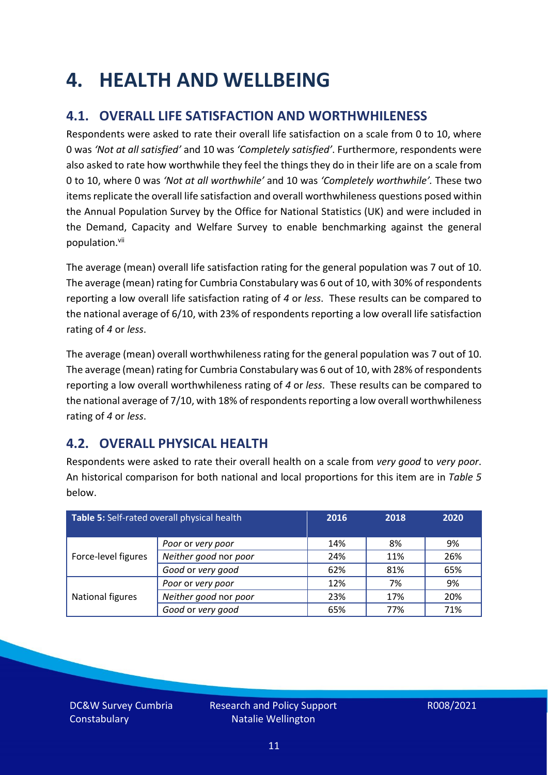### <span id="page-10-0"></span>**4. HEALTH AND WELLBEING**

### **4.1. OVERALL LIFE SATISFACTION AND WORTHWHILENESS**

Respondents were asked to rate their overall life satisfaction on a scale from 0 to 10, where 0 was *'Not at all satisfied'* and 10 was *'Completely satisfied'*. Furthermore, respondents were also asked to rate how worthwhile they feel the things they do in their life are on a scale from 0 to 10, where 0 was *'Not at all worthwhile'* and 10 was *'Completely worthwhile'.* These two items replicate the overall life satisfaction and overall worthwhileness questions posed within the Annual Population Survey by the Office for National Statistics (UK) and were included in the Demand, Capacity and Welfare Survey to enable benchmarking against the general population. vii

The average (mean) overall life satisfaction rating for the general population was 7 out of 10. The average (mean) rating for Cumbria Constabulary was 6 out of 10, with 30% of respondents reporting a low overall life satisfaction rating of *4* or *less*. These results can be compared to the national average of 6/10, with 23% of respondents reporting a low overall life satisfaction rating of *4* or *less*.

The average (mean) overall worthwhileness rating for the general population was 7 out of 10. The average (mean) rating for Cumbria Constabulary was 6 out of 10, with 28% of respondents reporting a low overall worthwhileness rating of *4* or *less*. These results can be compared to the national average of 7/10, with 18% of respondents reporting a low overall worthwhileness rating of *4* or *less*.

### **4.2. OVERALL PHYSICAL HEALTH**

Respondents were asked to rate their overall health on a scale from *very good* to *very poor*. An historical comparison for both national and local proportions for this item are in *Table 5* below.

| Table 5: Self-rated overall physical health |                       | 2016 | 2018 | 2020 |
|---------------------------------------------|-----------------------|------|------|------|
|                                             | Poor or very poor     | 14%  | 8%   | 9%   |
| Force-level figures                         | Neither good nor poor | 24%  | 11%  | 26%  |
|                                             | Good or very good     | 62%  | 81%  | 65%  |
|                                             | Poor or very poor     | 12%  | 7%   | 9%   |
| National figures                            | Neither good nor poor | 23%  | 17%  | 20%  |
|                                             | Good or very good     | 65%  | 77%  | 71%  |

DC&W Survey Cumbria **Constabulary**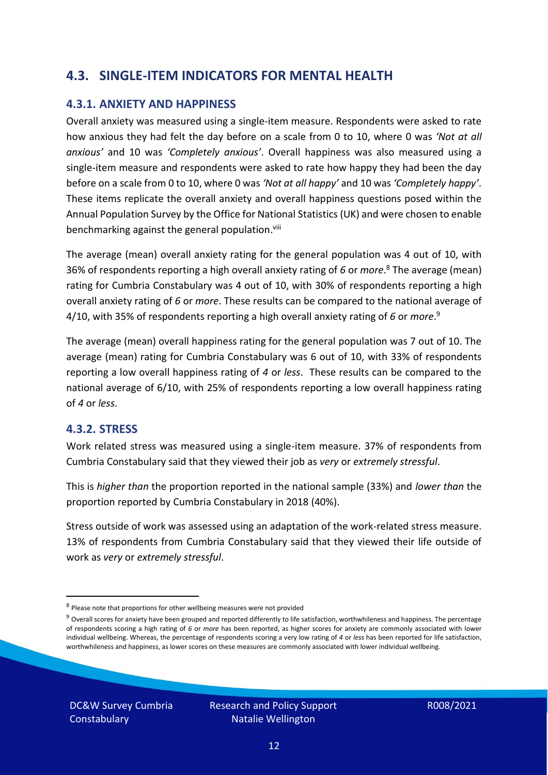### **4.3. SINGLE-ITEM INDICATORS FOR MENTAL HEALTH**

#### **4.3.1. ANXIETY AND HAPPINESS**

Overall anxiety was measured using a single-item measure. Respondents were asked to rate how anxious they had felt the day before on a scale from 0 to 10, where 0 was *'Not at all anxious'* and 10 was *'Completely anxious'*. Overall happiness was also measured using a single-item measure and respondents were asked to rate how happy they had been the day before on a scale from 0 to 10, where 0 was *'Not at all happy'* and 10 was *'Completely happy'*. These items replicate the overall anxiety and overall happiness questions posed within the Annual Population Survey by the Office for National Statistics (UK) and were chosen to enable benchmarking against the general population.<sup>viii</sup>

The average (mean) overall anxiety rating for the general population was 4 out of 10, with 36% of respondents reporting a high overall anxiety rating of *6* or *more*. <sup>8</sup> The average (mean) rating for Cumbria Constabulary was 4 out of 10, with 30% of respondents reporting a high overall anxiety rating of *6* or *more*. These results can be compared to the national average of 4/10, with 35% of respondents reporting a high overall anxiety rating of *6* or *more*. 9

The average (mean) overall happiness rating for the general population was 7 out of 10. The average (mean) rating for Cumbria Constabulary was 6 out of 10, with 33% of respondents reporting a low overall happiness rating of *4* or *less*. These results can be compared to the national average of 6/10, with 25% of respondents reporting a low overall happiness rating of *4* or *less*.

#### **4.3.2. STRESS**

Work related stress was measured using a single-item measure. 37% of respondents from Cumbria Constabulary said that they viewed their job as *very* or *extremely stressful*.

This is *higher than* the proportion reported in the national sample (33%) and *lower than* the proportion reported by Cumbria Constabulary in 2018 (40%).

Stress outside of work was assessed using an adaptation of the work-related stress measure. 13% of respondents from Cumbria Constabulary said that they viewed their life outside of work as *very* or *extremely stressful*.

DC&W Survey Cumbria **Constabulary** 

<sup>&</sup>lt;sup>8</sup> Please note that proportions for other wellbeing measures were not provided

 $9$  Overall scores for anxiety have been grouped and reported differently to life satisfaction, worthwhileness and happiness. The percentage of respondents scoring a high rating of *6* or *more* has been reported, as higher scores for anxiety are commonly associated with lower individual wellbeing. Whereas, the percentage of respondents scoring a very low rating of *4* or *less* has been reported for life satisfaction, worthwhileness and happiness, as lower scores on these measures are commonly associated with lower individual wellbeing.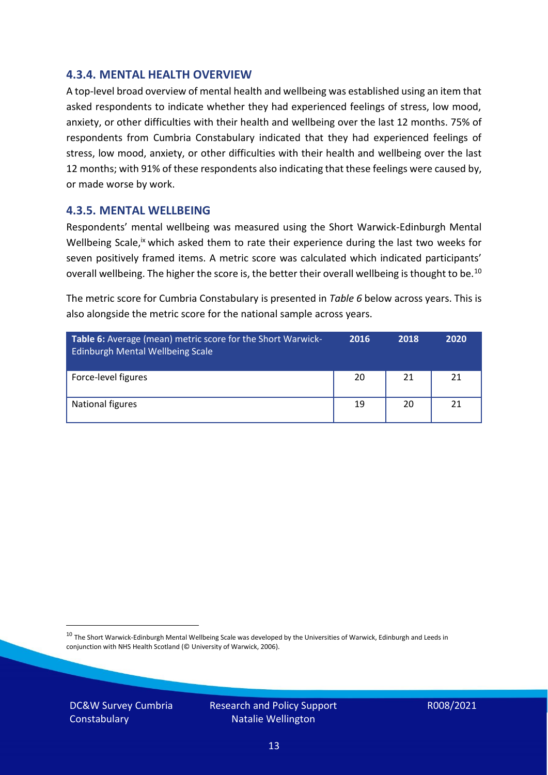#### **4.3.4. MENTAL HEALTH OVERVIEW**

A top-level broad overview of mental health and wellbeing was established using an item that asked respondents to indicate whether they had experienced feelings of stress, low mood, anxiety, or other difficulties with their health and wellbeing over the last 12 months. 75% of respondents from Cumbria Constabulary indicated that they had experienced feelings of stress, low mood, anxiety, or other difficulties with their health and wellbeing over the last 12 months; with 91% of these respondents also indicating that these feelings were caused by, or made worse by work.

#### **4.3.5. MENTAL WELLBEING**

Respondents' mental wellbeing was measured using the Short Warwick-Edinburgh Mental Wellbeing Scale,<sup>ix</sup> which asked them to rate their experience during the last two weeks for seven positively framed items. A metric score was calculated which indicated participants' overall wellbeing. The higher the score is, the better their overall wellbeing is thought to be.<sup>10</sup>

The metric score for Cumbria Constabulary is presented in *Table 6* below across years. This is also alongside the metric score for the national sample across years.

| <b>Table 6:</b> Average (mean) metric score for the Short Warwick-<br>Edinburgh Mental Wellbeing Scale | 2016 | 2018 | 2020 |
|--------------------------------------------------------------------------------------------------------|------|------|------|
| Force-level figures                                                                                    | 20   | 21   | 21   |
| National figures                                                                                       | 19   | 20   | 21   |

 $10$  The Short Warwick-Edinburgh Mental Wellbeing Scale was developed by the Universities of Warwick, Edinburgh and Leeds in conjunction with NHS Health Scotland (© University of Warwick, 2006).

DC&W Survey Cumbria **Constabulary** 

Research and Policy Support Natalie Wellington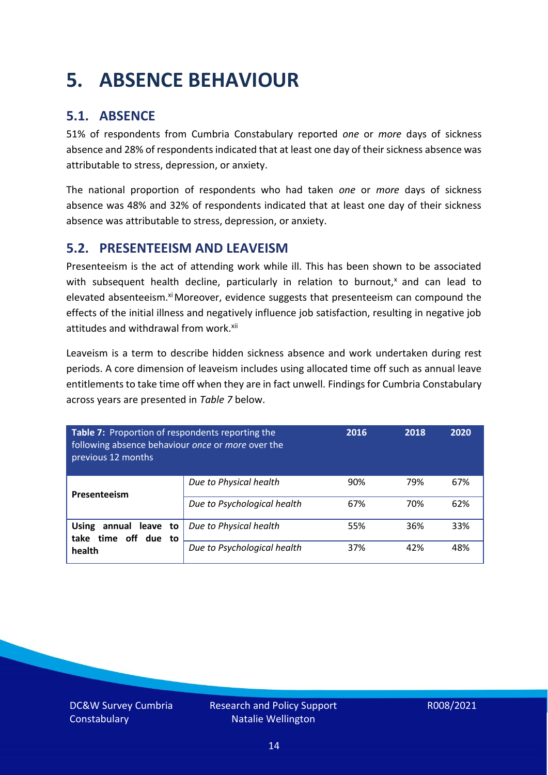### <span id="page-13-0"></span>**5. ABSENCE BEHAVIOUR**

### **5.1. ABSENCE**

51% of respondents from Cumbria Constabulary reported *one* or *more* days of sickness absence and 28% of respondents indicated that at least one day of their sickness absence was attributable to stress, depression, or anxiety.

The national proportion of respondents who had taken *one* or *more* days of sickness absence was 48% and 32% of respondents indicated that at least one day of their sickness absence was attributable to stress, depression, or anxiety.

#### **5.2. PRESENTEEISM AND LEAVEISM**

Presenteeism is the act of attending work while ill. This has been shown to be associated with subsequent health decline, particularly in relation to burnout, $x$  and can lead to elevated absenteeism.<sup>xi</sup> Moreover, evidence suggests that presenteeism can compound the effects of the initial illness and negatively influence job satisfaction, resulting in negative job attitudes and withdrawal from work.<sup>xii</sup>

Leaveism is a term to describe hidden sickness absence and work undertaken during rest periods. A core dimension of leaveism includes using allocated time off such as annual leave entitlements to take time off when they are in fact unwell. Findings for Cumbria Constabulary across years are presented in *Table 7* below.

| Table 7: Proportion of respondents reporting the<br>following absence behaviour once or more over the<br>previous 12 months |                             | 2016 | 2018 | 2020 |
|-----------------------------------------------------------------------------------------------------------------------------|-----------------------------|------|------|------|
| Presenteeism                                                                                                                | Due to Physical health      | 90%  | 79%  | 67%  |
|                                                                                                                             | Due to Psychological health | 67%  | 70%  | 62%  |
| annual leave to<br><b>Using</b><br>time off due to<br>take<br>health                                                        | Due to Physical health      | 55%  | 36%  | 33%  |
|                                                                                                                             | Due to Psychological health | 37%  | 42%  | 48%  |

DC&W Survey Cumbria **Constabulary**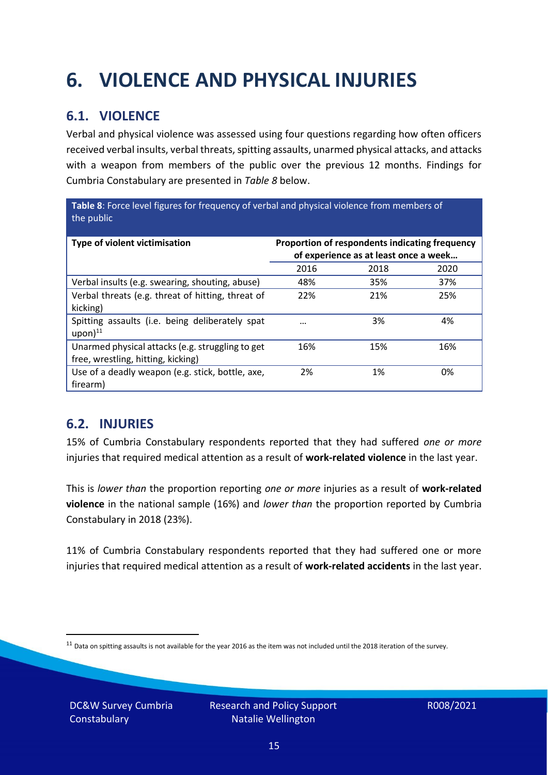## <span id="page-14-0"></span>**6. VIOLENCE AND PHYSICAL INJURIES**

### **6.1. VIOLENCE**

Verbal and physical violence was assessed using four questions regarding how often officers received verbal insults, verbal threats, spitting assaults, unarmed physical attacks, and attacks with a weapon from members of the public over the previous 12 months. Findings for Cumbria Constabulary are presented in *Table 8* below.

**Table 8**: Force level figures for frequency of verbal and physical violence from members of the public

| Type of violent victimisation                                                          | Proportion of respondents indicating frequency<br>of experience as at least once a week |      |      |
|----------------------------------------------------------------------------------------|-----------------------------------------------------------------------------------------|------|------|
|                                                                                        | 2016                                                                                    | 2018 | 2020 |
| Verbal insults (e.g. swearing, shouting, abuse)                                        | 48%                                                                                     | 35%  | 37%  |
| Verbal threats (e.g. threat of hitting, threat of<br>kicking)                          | 22%                                                                                     | 21%  | 25%  |
| Spitting assaults (i.e. being deliberately spat<br>$upon)$ <sup>11</sup>               | $\cdots$                                                                                | 3%   | 4%   |
| Unarmed physical attacks (e.g. struggling to get<br>free, wrestling, hitting, kicking) | 16%                                                                                     | 15%  | 16%  |
| Use of a deadly weapon (e.g. stick, bottle, axe,<br>firearm)                           | 2%                                                                                      | 1%   | 0%   |

### **6.2. INJURIES**

15% of Cumbria Constabulary respondents reported that they had suffered *one or more* injuries that required medical attention as a result of **work-related violence** in the last year.

This is *lower than* the proportion reporting *one or more* injuries as a result of **work-related violence** in the national sample (16%) and *lower than* the proportion reported by Cumbria Constabulary in 2018 (23%).

11% of Cumbria Constabulary respondents reported that they had suffered one or more injuries that required medical attention as a result of **work-related accidents** in the last year.

 $11$  Data on spitting assaults is not available for the year 2016 as the item was not included until the 2018 iteration of the survey.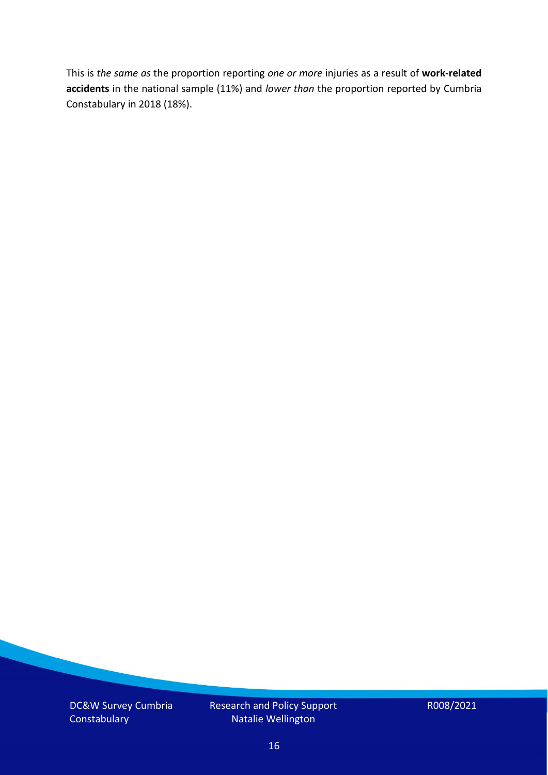This is *the same as* the proportion reporting *one or more* injuries as a result of **work-related accidents** in the national sample (11%) and *lower than* the proportion reported by Cumbria Constabulary in 2018 (18%).

DC&W Survey Cumbria **Constabulary** 

Research and Policy Support Natalie Wellington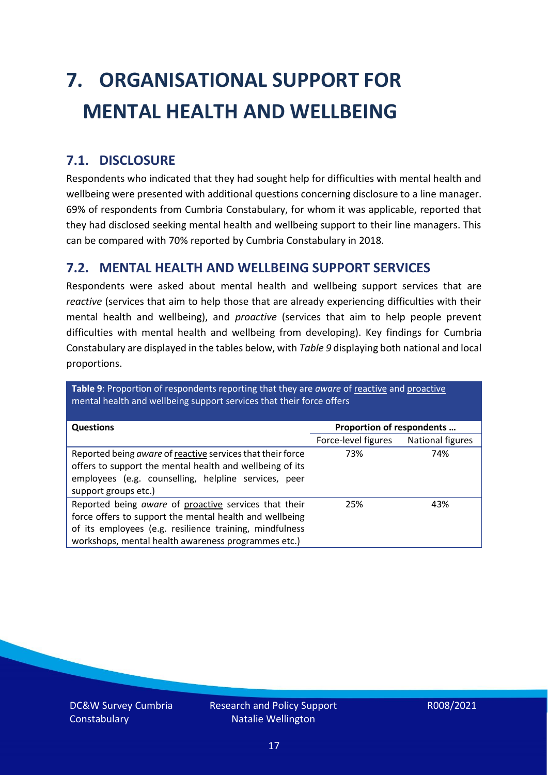# <span id="page-16-0"></span>**7. ORGANISATIONAL SUPPORT FOR MENTAL HEALTH AND WELLBEING**

### **7.1. DISCLOSURE**

Respondents who indicated that they had sought help for difficulties with mental health and wellbeing were presented with additional questions concerning disclosure to a line manager. 69% of respondents from Cumbria Constabulary, for whom it was applicable, reported that they had disclosed seeking mental health and wellbeing support to their line managers. This can be compared with 70% reported by Cumbria Constabulary in 2018.

#### **7.2. MENTAL HEALTH AND WELLBEING SUPPORT SERVICES**

Respondents were asked about mental health and wellbeing support services that are *reactive* (services that aim to help those that are already experiencing difficulties with their mental health and wellbeing), and *proactive* (services that aim to help people prevent difficulties with mental health and wellbeing from developing). Key findings for Cumbria Constabulary are displayed in the tables below, with *Table 9* displaying both national and local proportions.

**Table 9**: Proportion of respondents reporting that they are *aware* of reactive and proactive mental health and wellbeing support services that their force offers

| <b>Questions</b>                                           | Proportion of respondents |                  |  |
|------------------------------------------------------------|---------------------------|------------------|--|
|                                                            |                           |                  |  |
|                                                            | Force-level figures       | National figures |  |
| Reported being aware of reactive services that their force | 73%                       | 74%              |  |
| offers to support the mental health and wellbeing of its   |                           |                  |  |
| employees (e.g. counselling, helpline services, peer       |                           |                  |  |
| support groups etc.)                                       |                           |                  |  |
|                                                            |                           |                  |  |
| Reported being aware of proactive services that their      | 25%                       | 43%              |  |
| force offers to support the mental health and wellbeing    |                           |                  |  |
| of its employees (e.g. resilience training, mindfulness    |                           |                  |  |
| workshops, mental health awareness programmes etc.)        |                           |                  |  |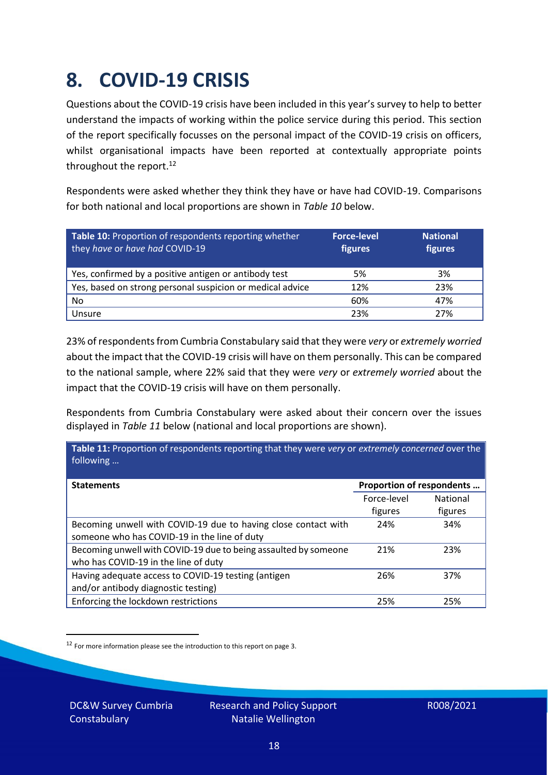### <span id="page-17-0"></span>**8. COVID-19 CRISIS**

Questions about the COVID-19 crisis have been included in this year's survey to help to better understand the impacts of working within the police service during this period. This section of the report specifically focusses on the personal impact of the COVID-19 crisis on officers, whilst organisational impacts have been reported at contextually appropriate points throughout the report.<sup>12</sup>

Respondents were asked whether they think they have or have had COVID-19. Comparisons for both national and local proportions are shown in *Table 10* below.

| Table 10: Proportion of respondents reporting whether<br>they have or have had COVID-19 | <b>Force-level</b><br>figures | <b>National</b><br>figures |
|-----------------------------------------------------------------------------------------|-------------------------------|----------------------------|
| Yes, confirmed by a positive antigen or antibody test                                   | 5%                            | 3%                         |
| Yes, based on strong personal suspicion or medical advice                               | 12%                           | 23%                        |
| No                                                                                      | 60%                           | 47%                        |
| Unsure                                                                                  | 23%                           | 27%                        |

23% of respondents from Cumbria Constabulary said that they were *very* or *extremely worried* about the impact that the COVID-19 crisis will have on them personally. This can be compared to the national sample, where 22% said that they were *very* or *extremely worried* about the impact that the COVID-19 crisis will have on them personally.

Respondents from Cumbria Constabulary were asked about their concern over the issues displayed in *Table 11* below (national and local proportions are shown).

| Table 11: Proportion of respondents reporting that they were very or extremely concerned over the<br>following |                           |                            |
|----------------------------------------------------------------------------------------------------------------|---------------------------|----------------------------|
| <b>Statements</b>                                                                                              | Proportion of respondents |                            |
|                                                                                                                | Force-level<br>figures    | <b>National</b><br>figures |
| Becoming unwell with COVID-19 due to having close contact with<br>someone who has COVID-19 in the line of duty | 24%                       | 34%                        |
| Becoming unwell with COVID-19 due to being assaulted by someone<br>who has COVID-19 in the line of duty        | 21%                       | 23%                        |
| Having adequate access to COVID-19 testing (antigen<br>and/or antibody diagnostic testing)                     | 26%                       | 37%                        |
| Enforcing the lockdown restrictions                                                                            | 25%                       | 25%                        |

<sup>12</sup> For more information please see the introduction to this report on page 3.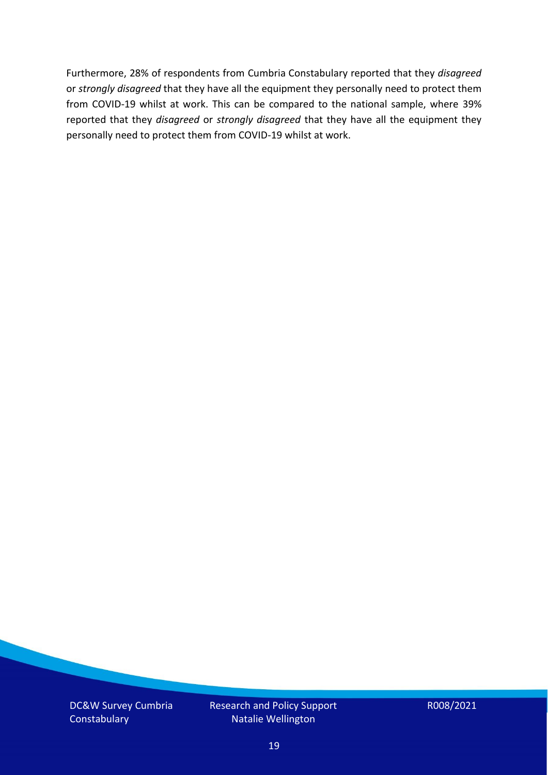Furthermore, 28% of respondents from Cumbria Constabulary reported that they *disagreed*  or *strongly disagreed* that they have all the equipment they personally need to protect them from COVID-19 whilst at work. This can be compared to the national sample, where 39% reported that they *disagreed* or *strongly disagreed* that they have all the equipment they personally need to protect them from COVID-19 whilst at work.

DC&W Survey Cumbria **Constabulary** 

Research and Policy Support Natalie Wellington